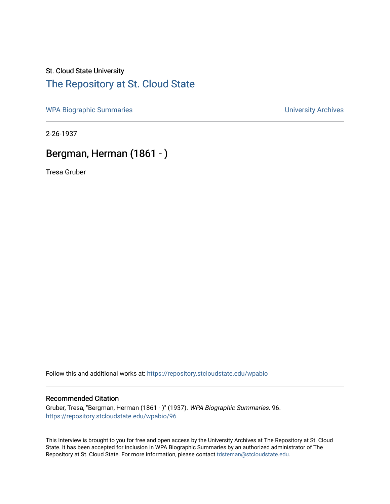## St. Cloud State University [The Repository at St. Cloud State](https://repository.stcloudstate.edu/)

[WPA Biographic Summaries](https://repository.stcloudstate.edu/wpabio) **WPA Biographic Summaries University Archives** 

2-26-1937

## Bergman, Herman (1861 - )

Tresa Gruber

Follow this and additional works at: [https://repository.stcloudstate.edu/wpabio](https://repository.stcloudstate.edu/wpabio?utm_source=repository.stcloudstate.edu%2Fwpabio%2F96&utm_medium=PDF&utm_campaign=PDFCoverPages) 

## Recommended Citation

Gruber, Tresa, "Bergman, Herman (1861 - )" (1937). WPA Biographic Summaries. 96. [https://repository.stcloudstate.edu/wpabio/96](https://repository.stcloudstate.edu/wpabio/96?utm_source=repository.stcloudstate.edu%2Fwpabio%2F96&utm_medium=PDF&utm_campaign=PDFCoverPages)

This Interview is brought to you for free and open access by the University Archives at The Repository at St. Cloud State. It has been accepted for inclusion in WPA Biographic Summaries by an authorized administrator of The Repository at St. Cloud State. For more information, please contact [tdsteman@stcloudstate.edu.](mailto:tdsteman@stcloudstate.edu)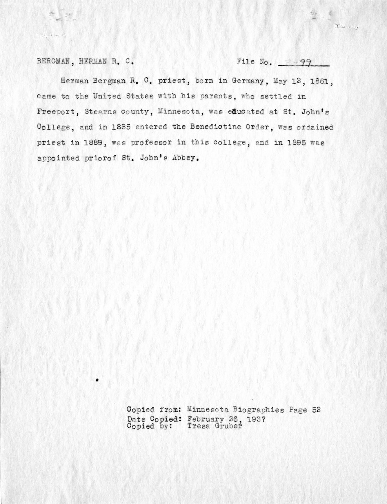BERGMAN, HERMAN R. C.

 $3 - 1 - 125$ 

File No.  $= -99$ 

Herman Bergman R. C. priest, born in Germany, May 12, 1861, came to the United States with his parents, who settled in Freeport, Stearns county, Minnesota, was educated at St. John's College, and in 1885 entered the Benedictine Order, was ordained priest in 1889, was professor in this college, and in 1895 was appointed priorof St. John's Abbey.

> Copied from: Minnesota Biographies Page 52 Date Copied: February 26, 1937<br>Copied by: Tresa Gruber

There